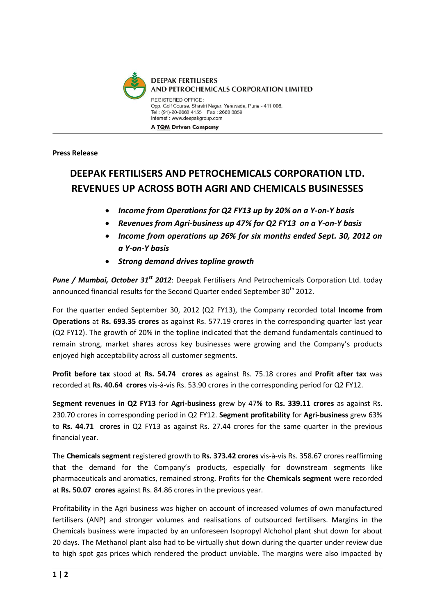

## **Press Release**

## **DEEPAK FERTILISERS AND PETROCHEMICALS CORPORATION LTD. REVENUES UP ACROSS BOTH AGRI AND CHEMICALS BUSINESSES**

- *Income from Operations for Q2 FY13 up by 20% on a Y-on-Y basis*
- *Revenues from Agri-business up 47% for Q2 FY13 on a Y-on-Y basis*
- *Income from operations up 26% for six months ended Sept. 30, 2012 on a Y-on-Y basis*
- *Strong demand drives topline growth*

*Pune / Mumbai, October 31st 2012*: Deepak Fertilisers And Petrochemicals Corporation Ltd. today announced financial results for the Second Quarter ended September 30<sup>th</sup> 2012.

For the quarter ended September 30, 2012 (Q2 FY13), the Company recorded total **Income from Operations** at **Rs. 693.35 crores** as against Rs. 577.19 crores in the corresponding quarter last year (Q2 FY12). The growth of 20% in the topline indicated that the demand fundamentals continued to remain strong, market shares across key businesses were growing and the Company's products enjoyed high acceptability across all customer segments.

**Profit before tax** stood at **Rs. 54.74 crores** as against Rs. 75.18 crores and **Profit after tax** was recorded at **Rs. 40.64 crores** vis-à-vis Rs. 53.90 crores in the corresponding period for Q2 FY12.

**Segment revenues in Q2 FY13** for **Agri-business** grew by 47**%** to **Rs. 339.11 crores** as against Rs. 230.70 crores in corresponding period in Q2 FY12. **Segment profitability** for **Agri-business** grew 63% to **Rs. 44.71 crores** in Q2 FY13 as against Rs. 27.44 crores for the same quarter in the previous financial year.

The **Chemicals segment** registered growth to **Rs. 373.42 crores** vis-à-vis Rs. 358.67 crores reaffirming that the demand for the Company's products, especially for downstream segments like pharmaceuticals and aromatics, remained strong. Profits for the **Chemicals segment** were recorded at **Rs. 50.07 crores** against Rs. 84.86 crores in the previous year.

Profitability in the Agri business was higher on account of increased volumes of own manufactured fertilisers (ANP) and stronger volumes and realisations of outsourced fertilisers. Margins in the Chemicals business were impacted by an unforeseen Isopropyl Alchohol plant shut down for about 20 days. The Methanol plant also had to be virtually shut down during the quarter under review due to high spot gas prices which rendered the product unviable. The margins were also impacted by